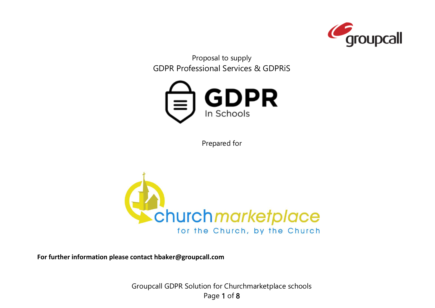

Proposal to supply GDPR Professional Services & GDPRiS



Prepared for



**For further information please contact hbaker@groupcall.com**

Groupcall GDPR Solution for Churchmarketplace schools Page 1 of 8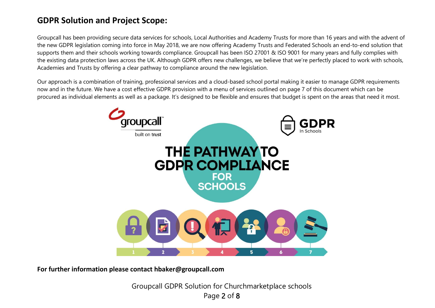# **GDPR Solution and Project Scope:**

Groupcall has been providing secure data services for schools, Local Authorities and Academy Trusts for more than 16 years and with the advent of the new GDPR legislation coming into force in May 2018, we are now offering Academy Trusts and Federated Schools an end-to-end solution that supports them and their schools working towards compliance. Groupcall has been ISO 27001 & ISO 9001 for many years and fully complies with the existing data protection laws across the UK. Although GDPR offers new challenges, we believe that we're perfectly placed to work with schools, Academies and Trusts by offering a clear pathway to compliance around the new legislation.

Our approach is a combination of training, professional services and a cloud-based school portal making it easier to manage GDPR requirements now and in the future. We have a cost effective GDPR provision with a menu of services outlined on page 7 of this document which can be procured as individual elements as well as a package. It's designed to be flexible and ensures that budget is spent on the areas that need it most.



**For further information please contact hbaker@groupcall.com**

Groupcall GDPR Solution for Churchmarketplace schools Page 2 of 8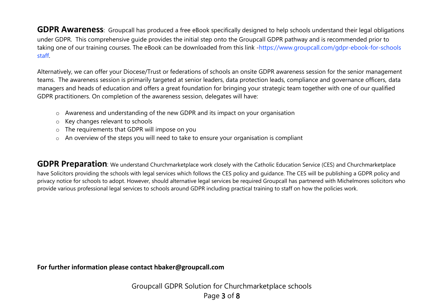**GDPR Awareness**: Groupcall has produced a free eBook specifically designed to help schools understand their legal obligations under GDPR. This comprehensive guide provides the initial step onto the Groupcall GDPR pathway and is recommended prior to taking one of our training courses. The eBook can be downloaded from this link -https://www.groupcall.com/gdpr-ebook-for-schools staff.

Alternatively, we can offer your Diocese/Trust or federations of schools an onsite GDPR awareness session for the senior management teams. The awareness session is primarily targeted at senior leaders, data protection leads, compliance and governance officers, data managers and heads of education and offers a great foundation for bringing your strategic team together with one of our qualified GDPR practitioners. On completion of the awareness session, delegates will have:

- o Awareness and understanding of the new GDPR and its impact on your organisation
- o Key changes relevant to schools
- o The requirements that GDPR will impose on you
- o An overview of the steps you will need to take to ensure your organisation is compliant

**GDPR Preparation**: We understand Churchmarketplace work closely with the Catholic Education Service (CES) and Churchmarketplace have Solicitors providing the schools with legal services which follows the CES policy and guidance. The CES will be publishing a GDPR policy and privacy notice for schools to adopt. However, should alternative legal services be required Groupcall has partnered with Michelmores solicitors who provide various professional legal services to schools around GDPR including practical training to staff on how the policies work.

**For further information please contact hbaker@groupcall.com**

Groupcall GDPR Solution for Churchmarketplace schools Page 3 of 8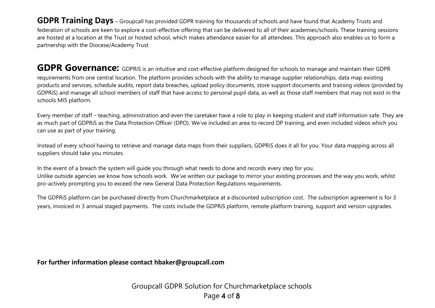**GDPR Training Days** – Groupcall has provided GDPR training for thousands of schools and have found that Academy Trusts and federation of schools are keen to explore a cost-effective offering that can be delivered to all of their academies/schools. These training sessions are hosted at a location at the Trust or hosted school, which makes attendance easier for all attendees. This approach also enables us to form a partnership with the Diocese/Academy Trust

GDPR Governance: GDPRIS is an intuitive and cost-effective platform designed for schools to manage and maintain their GDPR requirements from one central location. The platform provides schools with the ability to manage supplier relationships, data map existing products and services, schedule audits, report data breaches, upload policy documents, store support documents and training videos (provided by GDPRiS) and manage all school members of staff that have access to personal pupil data, as well as those staff members that may not exist in the schools MIS platform.

Every member of staff – teaching, administration and even the caretaker have a role to play in keeping student and staff information safe. They are as much part of GDPRiS as the Data Protection Officer (DPO). We've included an area to record DP training, and even included videos which you can use as part of your training.

Instead of every school having to retrieve and manage data maps from their suppliers, GDPRiS does it all for you. Your data mapping across all suppliers should take you minutes.

In the event of a breach the system will guide you through what needs to done and records every step for you. Unlike outside agencies we know how schools work. We've written our package to mirror your existing processes and the way you work, whilst pro-actively prompting you to exceed the new General Data Protection Regulations requirements.

The GDPRiS platform can be purchased directly from Churchmarketplace at a discounted subscription cost. The subscription agreement is for 3 years, invoiced in 3 annual staged payments. The costs include the GDPRiS platform, remote platform training, support and version upgrades.

**For further information please contact hbaker@groupcall.com**

Groupcall GDPR Solution for Churchmarketplace schools Page 4 of 8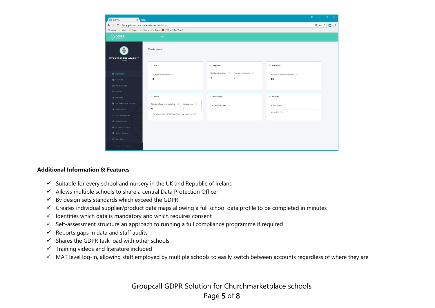| <b>O</b> GDPRIS<br>X                                                     |                                                                                                             |                                                                                                          |                                                              | $\theta$ – $\theta$ $\times$ |  |
|--------------------------------------------------------------------------|-------------------------------------------------------------------------------------------------------------|----------------------------------------------------------------------------------------------------------|--------------------------------------------------------------|------------------------------|--|
| C 10 gdpris-web-uat.azurewebsites.net/home<br>$\leftarrow$ $\rightarrow$ |                                                                                                             |                                                                                                          |                                                              |                              |  |
|                                                                          | Here Apps <b>C</b> , Work <b>C</b> , News <b>C</b> , Sports <b>C</b> , Docs <b>C</b> (13) Let's Cut The Cra |                                                                                                          |                                                              |                              |  |
| $\bigoplus$ GDPR                                                         | $\equiv$                                                                                                    |                                                                                                          |                                                              |                              |  |
| <b>FIVE BOROUGHS ACADEMY</b><br>School                                   | Dashboard                                                                                                   |                                                                                                          |                                                              |                              |  |
|                                                                          | > Staff                                                                                                     | <b>Suppliers</b>                                                                                         | ▶ Breaches                                                   |                              |  |
| <b>ED</b> Dashboard<br><b>皆</b> Suppliers                                | Number of active staff $\circ$<br>$\overline{4}$                                                            | Number of suppliers $\qquad \odot$ Number of products $\qquad \odot$<br>$\overline{7}$<br>$\overline{4}$ | Number of breaches reported $\qquad \circlearrowright$<br>13 |                              |  |
| Internal Audit<br>Actions                                                |                                                                                                             |                                                                                                          |                                                              |                              |  |
| A Breaches                                                               | Audit                                                                                                       | <b>Messages</b>                                                                                          | Profiles                                                     |                              |  |
| <b>Documents and Training</b><br>A Notifications                         | $\mathsf{o}$<br>$\mathbf 0$                                                                                 | No new messages 0                                                                                        | School profile ©                                             |                              |  |
| <b>≡</b> User Management                                                 | There is no finished Staff Data Protection Audit by staff!<br>$\circ$                                       |                                                                                                          | My profile ©                                                 |                              |  |
| School Profile                                                           |                                                                                                             |                                                                                                          |                                                              |                              |  |
| <b><math>\Phi</math></b> Account Settings                                |                                                                                                             |                                                                                                          |                                                              |                              |  |
| <b>盒</b> Switch Schools                                                  |                                                                                                             |                                                                                                          |                                                              |                              |  |
| G Sign Out                                                               |                                                                                                             |                                                                                                          |                                                              |                              |  |
| Terms and Conditions                                                     |                                                                                                             |                                                                                                          |                                                              |                              |  |

#### **Additional Information & Features**

- $\checkmark$  Suitable for every school and nursery in the UK and Republic of Ireland
- $\checkmark$  Allows multiple schools to share a central Data Protection Officer
- $\checkmark$  By design sets standards which exceed the GDPR
- ✓ Creates individual supplier/product data maps allowing a full school data profile to be completed in minutes
- $\checkmark$  Identifies which data is mandatory and which requires consent
- $\checkmark$  Self-assessment structure an approach to running a full compliance programme if required
- $\checkmark$  Reports gaps in data and staff audits
- $\checkmark$  Shares the GDPR task load with other schools
- $\checkmark$  Training videos and literature included
- ✓ MAT level log-in, allowing staff employed by multiple schools to easily switch between accounts regardless of where they are

Groupcall GDPR Solution for Churchmarketplace schools Page 5 of 8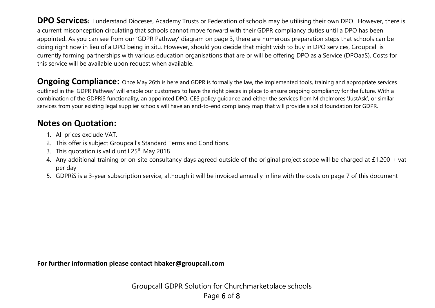**DPO Services:** I understand Dioceses, Academy Trusts or Federation of schools may be utilising their own DPO. However, there is a current misconception circulating that schools cannot move forward with their GDPR compliancy duties until a DPO has been appointed. As you can see from our 'GDPR Pathway' diagram on page 3, there are numerous preparation steps that schools can be doing right now in lieu of a DPO being in situ. However, should you decide that might wish to buy in DPO services, Groupcall is currently forming partnerships with various education organisations that are or will be offering DPO as a Service (DPOaaS). Costs for this service will be available upon request when available.

**Ongoing Compliance:** Once May 26th is here and GDPR is formally the law, the implemented tools, training and appropriate services outlined in the 'GDPR Pathway' will enable our customers to have the right pieces in place to ensure ongoing compliancy for the future. With a combination of the GDPRiS functionality, an appointed DPO, CES policy guidance and either the services from Michelmores 'JustAsk', or similar services from your existing legal supplier schools will have an end-to-end compliancy map that will provide a solid foundation for GDPR.

# **Notes on Quotation:**

- 1. All prices exclude VAT.
- 2. This offer is subject Groupcall's Standard Terms and Conditions.
- 3. This quotation is valid until 25<sup>th</sup> May 2018
- 4. Any additional training or on-site consultancy days agreed outside of the original project scope will be charged at £1,200 + vat per day
- 5. GDPRiS is a 3-year subscription service, although it will be invoiced annually in line with the costs on page 7 of this document

**For further information please contact hbaker@groupcall.com**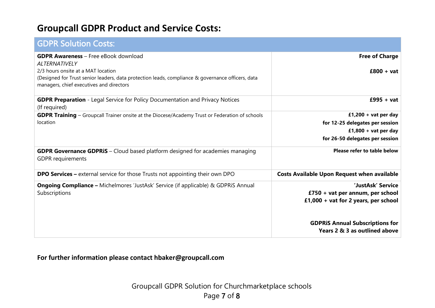# **Groupcall GDPR Product and Service Costs:**

| <b>GDPR Solution Costs:</b>                                                                                                                                                         |                                                                          |
|-------------------------------------------------------------------------------------------------------------------------------------------------------------------------------------|--------------------------------------------------------------------------|
| <b>GDPR Awareness</b> – Free eBook download<br><b>ALTERNATIVELY</b>                                                                                                                 | <b>Free of Charge</b>                                                    |
| 2/3 hours onsite at a MAT location<br>(Designed for Trust senior leaders, data protection leads, compliance & governance officers, data<br>managers, chief executives and directors | $£800 + vat$                                                             |
| <b>GDPR Preparation</b> - Legal Service for Policy Documentation and Privacy Notices<br>(If required)                                                                               | $£995 + vat$                                                             |
| <b>GDPR Training</b> - Groupcall Trainer onsite at the Diocese/Academy Trust or Federation of schools<br>location                                                                   | £1,200 + vat per day                                                     |
|                                                                                                                                                                                     | for 12-25 delegates per session<br>£1,800 + vat per day                  |
|                                                                                                                                                                                     | for 26-50 delegates per session                                          |
| GDPR Governance GDPRiS - Cloud based platform designed for academies managing<br><b>GDPR</b> requirements                                                                           | Please refer to table below                                              |
| <b>DPO Services –</b> external service for those Trusts not appointing their own DPO                                                                                                | <b>Costs Available Upon Request when available</b>                       |
| <b>Ongoing Compliance -</b> Michelmores 'JustAsk' Service (if applicable) & GDPRiS Annual                                                                                           | 'JustAsk' Service                                                        |
| Subscriptions                                                                                                                                                                       | £750 + vat per annum, per school<br>£1,000 + vat for 2 years, per school |
|                                                                                                                                                                                     |                                                                          |
|                                                                                                                                                                                     | <b>GDPRIS Annual Subscriptions for</b><br>Years 2 & 3 as outlined above  |
|                                                                                                                                                                                     |                                                                          |

### **For further information please contact hbaker@groupcall.com**